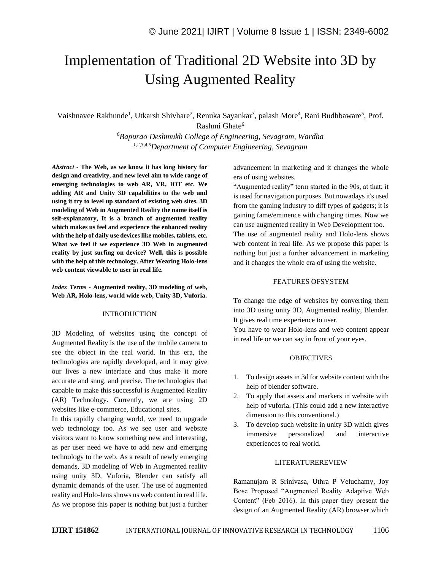# Implementation of Traditional 2D Website into 3D by Using Augmented Reality

Vaishnavee Rakhunde<sup>1</sup>, Utkarsh Shivhare<sup>2</sup>, Renuka Sayankar<sup>3</sup>, palash More<sup>4</sup>, Rani Budhbaware<sup>5</sup>, Prof. Rashmi Ghate<sup>6</sup>

> *<sup>6</sup>Bapurao Deshmukh College of Engineering, Sevagram, Wardha 1,2,3,4,5Department of Computer Engineering, Sevagram*

*Abstract -* **The Web, as we know it has long history for design and creativity, and new level aim to wide range of emerging technologies to web AR, VR, IOT etc. We adding AR and Unity 3D capabilities to the web and using it try to level up standard of existing web sites. 3D modeling of Web in Augmented Reality the name itself is self-explanatory, It is a branch of augmented reality which makes us feel and experience the enhanced reality with the help of daily use devices like mobiles, tablets, etc. What we feel if we experience 3D Web in augmented reality by just surfing on device? Well, this is possible with the help of this technology. After Wearing Holo-lens web content viewable to user in real life.**

*Index Terms -* **Augmented reality, 3D modeling of web, Web AR, Holo-lens, world wide web, Unity 3D, Vuforia.**

## INTRODUCTION

3D Modeling of websites using the concept of Augmented Reality is the use of the mobile camera to see the object in the real world. In this era, the technologies are rapidly developed, and it may give our lives a new interface and thus make it more accurate and snug, and precise. The technologies that capable to make this successful is Augmented Reality (AR) Technology. Currently, we are using 2D websites like e-commerce, Educational sites.

In this rapidly changing world, we need to upgrade web technology too. As we see user and website visitors want to know something new and interesting, as per user need we have to add new and emerging technology to the web. As a result of newly emerging demands, 3D modeling of Web in Augmented reality using unity 3D, Vuforia, Blender can satisfy all dynamic demands of the user. The use of augmented reality and Holo-lens shows us web content in real life. As we propose this paper is nothing but just a further advancement in marketing and it changes the whole era of using websites.

"Augmented reality" term started in the 90s, at that; it is used for navigation purposes. But nowadays it's used from the gaming industry to diff types of gadgets; it is gaining fame/eminence with changing times. Now we can use augmented reality in Web Development too. The use of augmented reality and Holo-lens shows web content in real life. As we propose this paper is nothing but just a further advancement in marketing and it changes the whole era of using the website.

# FEATURES OFSYSTEM

To change the edge of websites by converting them into 3D using unity 3D, Augmented reality, Blender. It gives real time experience to user.

You have to wear Holo-lens and web content appear in real life or we can say in front of your eyes.

## **OBJECTIVES**

- 1. To design assets in 3d for website content with the help of blender software.
- 2. To apply that assets and markers in website with help of vuforia. (This could add a new interactive dimension to this conventional.)
- 3. To develop such website in unity 3D which gives immersive personalized and interactive experiences to real world.

## LITERATUREREVIEW

Ramanujam R Srinivasa, Uthra P Veluchamy, Joy Bose Proposed "Augmented Reality Adaptive Web Content" (Feb 2016). In this paper they present the design of an Augmented Reality (AR) browser which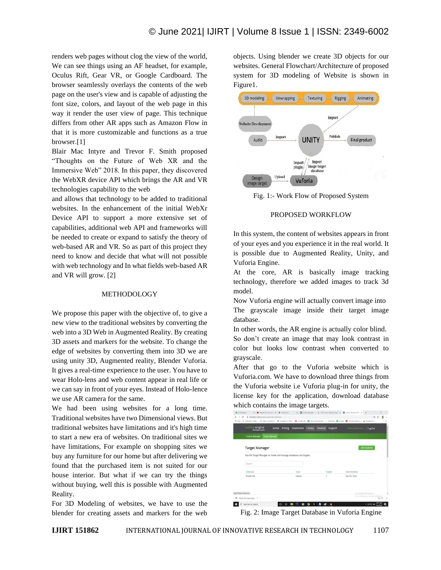renders web pages without clog the view of the world, We can see things using an AF headset, for example, Oculus Rift, Gear VR, or Google Cardboard. The browser seamlessly overlays the contents of the web page on the user's view and is capable of adjusting the font size, colors, and layout of the web page in this way it render the user view of page. This technique differs from other AR apps such as Amazon Flow in that it is more customizable and functions as a true browser.[1]

Blair Mac Intyre and Trevor F. Smith proposed "Thoughts on the Future of Web XR and the Immersive Web" 2018. In this paper, they discovered the WebXR device API which brings the AR and VR technologies capability to the web

and allows that technology to be added to traditional websites. In the enhancement of the initial WebXr Device API to support a more extensive set of capabilities, additional web API and frameworks will be needed to create or expand to satisfy the theory of web-based AR and VR. So as part of this project they need to know and decide that what will not possible with web technology and In what fields web-based AR and VR will grow. [2]

#### METHODOLOGY

We propose this paper with the objective of, to give a new view to the traditional websites by converting the web into a 3D Web in Augmented Reality. By creating 3D assets and markers for the website. To change the edge of websites by converting them into 3D we are using unity 3D, Augmented reality, Blender Vuforia. It gives a real-time experience to the user. You have to wear Holo-lens and web content appear in real life or we can say in front of your eyes. Instead of Holo-lence we use AR camera for the same.

We had been using websites for a long time. Traditional websites have two Dimensional views. But traditional websites have limitations and it's high time to start a new era of websites. On traditional sites we have limitations, For example on shopping sites we buy any furniture for our home but after delivering we found that the purchased item is not suited for our house interior. But what if we can try the things without buying, well this is possible with Augmented Reality.

For 3D Modeling of websites, we have to use the blender for creating assets and markers for the web objects. Using blender we create 3D objects for our websites. General Flowchart/Architecture of proposed system for 3D modeling of Website is shown in Figure1.



Fig. 1:- Work Flow of Proposed System

#### PROPOSED WORKFLOW

In this system, the content of websites appears in front of your eyes and you experience it in the real world. It is possible due to Augmented Reality, Unity, and Vuforia Engine.

At the core, AR is basically image tracking technology, therefore we added images to track 3d model.

Now Vuforia engine will actually convert image into The grayscale image inside their target image database.

In other words, the AR engine is actually color blind. So don't create an image that may look contrast in color but looks low contrast when converted to grayscale.

After that go to the Vuforia website which is Vuforia.com. We have to download three things from the Vuforia website i.e Vuforia plug-in for unity, the license key for the application, download database which contains the image targets.



Fig. 2: Image Target Database in Vuforia Engine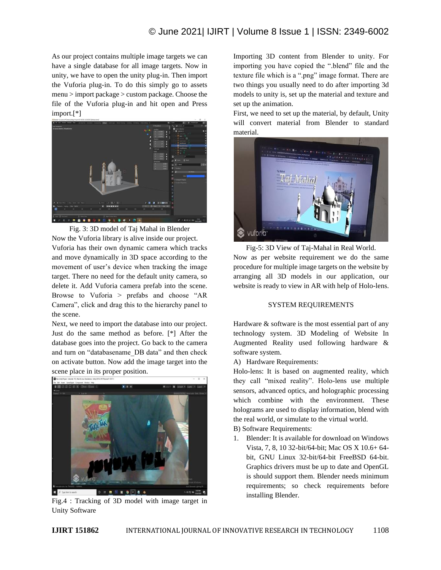As our project contains multiple image targets we can have a single database for all image targets. Now in unity, we have to open the unity plug-in. Then import the Vuforia plug-in. To do this simply go to assets menu > import package > custom package. Choose the file of the Vuforia plug-in and hit open and Press import.[\*]



Fig. 3: 3D model of Taj Mahal in Blender

Now the Vuforia library is alive inside our project. Vuforia has their own dynamic camera which tracks and move dynamically in 3D space according to the movement of user's device when tracking the image target. There no need for the default unity camera, so delete it. Add Vuforia camera prefab into the scene. Browse to Vuforia > prefabs and choose "AR Camera", click and drag this to the hierarchy panel to the scene.

Next, we need to import the database into our project. Just do the same method as before. [\*] After the database goes into the project. Go back to the camera and turn on "databasename\_DB data" and then check on activate button. Now add the image target into the scene place in its proper position.



Fig.4 : Tracking of 3D model with image target in Unity Software

Importing 3D content from Blender to unity. For importing you have copied the ".blend" file and the texture file which is a ".png" image format. There are two things you usually need to do after importing 3d models to unity is, set up the material and texture and set up the animation.

First, we need to set up the material, by default, Unity will convert material from Blender to standard material.



Fig-5: 3D View of Taj-Mahal in Real World. Now as per website requirement we do the same procedure for multiple image targets on the website by arranging all 3D models in our application, our website is ready to view in AR with help of Holo-lens.

# SYSTEM REQUIREMENTS

Hardware & software is the most essential part of any technology system. 3D Modeling of Website In Augmented Reality used following hardware & software system.

A) Hardware Requirements:

Holo-lens: It is based on augmented reality, which they call "mixed reality". Holo-lens use multiple sensors, advanced optics, and holographic processing which combine with the environment. These holograms are used to display information, blend with the real world, or simulate to the virtual world.

B) Software Requirements:

1. Blender: It is available for download on Windows Vista, 7, 8, 10 32-bit/64-bit; Mac OS X 10.6+ 64 bit, GNU Linux 32-bit/64-bit FreeBSD 64-bit. Graphics drivers must be up to date and OpenGL is should support them. Blender needs minimum requirements; so check requirements before installing Blender.